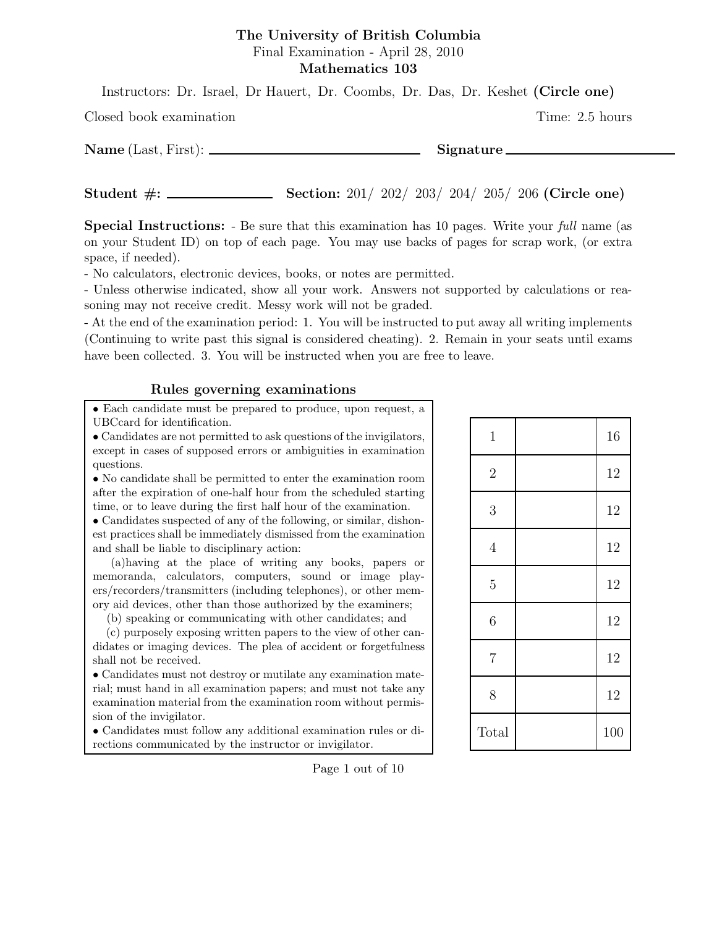### The University of British Columbia Final Examination - April 28, 2010 Mathematics 103

Instructors: Dr. Israel, Dr Hauert, Dr. Coombs, Dr. Das, Dr. Keshet (Circle one)

Closed book examination Time: 2.5 hours

Name (Last, First): Signature

Student #: Section: 201/ 202/ 203/ 204/ 205/ 206 (Circle one)

Special Instructions: - Be sure that this examination has 10 pages. Write your *full* name (as on your Student ID) on top of each page. You may use backs of pages for scrap work, (or extra space, if needed).

- No calculators, electronic devices, books, or notes are permitted.

- Unless otherwise indicated, show all your work. Answers not supported by calculations or reasoning may not receive credit. Messy work will not be graded.

- At the end of the examination period: 1. You will be instructed to put away all writing implements (Continuing to write past this signal is considered cheating). 2. Remain in your seats until exams have been collected. 3. You will be instructed when you are free to leave.

## Rules governing examinations

• Each candidate must be prepared to produce, upon request, a UBCcard for identification.

• Candidates are not permitted to ask questions of the invigilators, except in cases of supposed errors or ambiguities in examination questions.

• No candidate shall be permitted to enter the examination room after the expiration of one-half hour from the scheduled starting time, or to leave during the first half hour of the examination.

• Candidates suspected of any of the following, or similar, dishonest practices shall be immediately dismissed from the examination and shall be liable to disciplinary action:

(a)having at the place of writing any books, papers or memoranda, calculators, computers, sound or image players/recorders/transmitters (including telephones), or other memory aid devices, other than those authorized by the examiners;

(b) speaking or communicating with other candidates; and

(c) purposely exposing written papers to the view of other candidates or imaging devices. The plea of accident or forgetfulness shall not be received.

• Candidates must not destroy or mutilate any examination material; must hand in all examination papers; and must not take any examination material from the examination room without permission of the invigilator.

• Candidates must follow any additional examination rules or directions communicated by the instructor or invigilator.

Page 1 out of 10

| $\mathbf{1}$   | 16  |
|----------------|-----|
| $\overline{2}$ | 12  |
| 3              | 12  |
| $\overline{4}$ | 12  |
| $\overline{5}$ | 12  |
| 6              | 12  |
| $\overline{7}$ | 12  |
| 8              | 12  |
| Total          | 100 |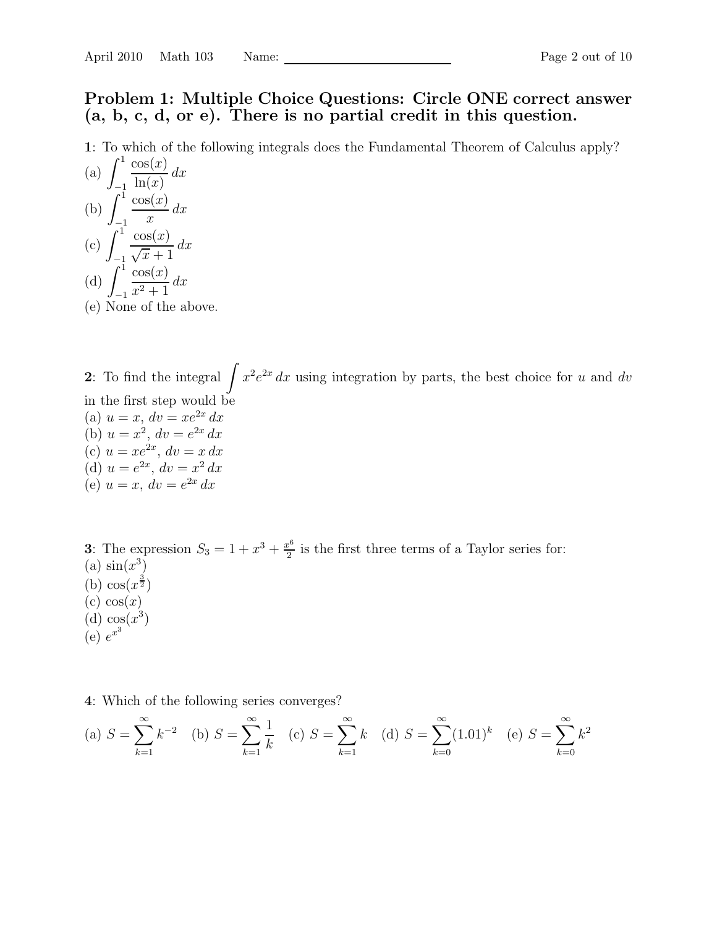# Problem 1: Multiple Choice Questions: Circle ONE correct answer (a, b, c, d, or e). There is no partial credit in this question.

1: To which of the following integrals does the Fundamental Theorem of Calculus apply?  $r<sup>1</sup>$   $\cdots$   $\cdots$ 

(a) 
$$
\int_{-1}^{1} \frac{\cos(x)}{\ln(x)} dx
$$
  
\n(b) 
$$
\int_{-1}^{1} \frac{\cos(x)}{x} dx
$$
  
\n(c) 
$$
\int_{-1}^{1} \frac{\cos(x)}{\sqrt{x} + 1} dx
$$
  
\n(d) 
$$
\int_{-1}^{1} \frac{\cos(x)}{x^2 + 1} dx
$$
  
\n(e) None of the above.

2: To find the integral  $\int x^2 e^{2x} dx$  using integration by parts, the best choice for u and dv in the first step would be (a)  $u = x$ ,  $dv = xe^{2x} dx$ (b)  $u = x^2$ ,  $dv = e^{2x} dx$ (c)  $u = xe^{2x}$ ,  $dv = x dx$ (d)  $u = e^{2x}$ ,  $dv = x^2 dx$ (e)  $u = x, dv = e^{2x} dx$ 

**3**: The expression  $S_3 = 1 + x^3 + \frac{x^6}{2}$  $\frac{e^{\sigma}}{2}$  is the first three terms of a Taylor series for: (a)  $\sin(x^3)$ (b)  $\cos(x^{\frac{3}{2}})$  $(c) \cos(x)$  $(d)$   $\cos(x^3)$  $\left(e\right)e^{x^3}$ 

4: Which of the following series converges?

(a) 
$$
S = \sum_{k=1}^{\infty} k^{-2}
$$
 (b)  $S = \sum_{k=1}^{\infty} \frac{1}{k}$  (c)  $S = \sum_{k=1}^{\infty} k$  (d)  $S = \sum_{k=0}^{\infty} (1.01)^k$  (e)  $S = \sum_{k=0}^{\infty} k^2$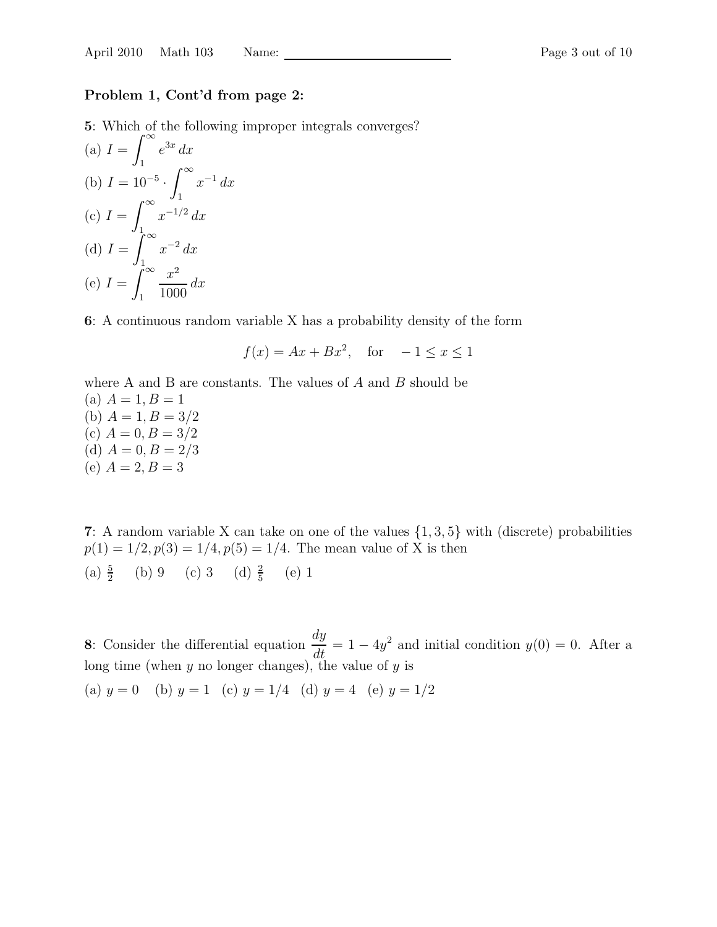#### Problem 1, Cont'd from page 2:

5: Which of the following improper integrals converges?

(a) 
$$
I = \int_{1}^{\infty} e^{3x} dx
$$
  
\n(b)  $I = 10^{-5} \cdot \int_{1}^{\infty} x^{-1} dx$   
\n(c)  $I = \int_{1}^{\infty} x^{-1/2} dx$   
\n(d)  $I = \int_{1}^{\infty} x^{-2} dx$   
\n(e)  $I = \int_{1}^{\infty} \frac{x^2}{1000} dx$ 

6: A continuous random variable X has a probability density of the form

$$
f(x) = Ax + Bx^2, \quad \text{for} \quad -1 \le x \le 1
$$

where A and B are constants. The values of  $A$  and  $B$  should be (a)  $A = 1, B = 1$ (b)  $A = 1, B = 3/2$ (c)  $A = 0, B = 3/2$ (d)  $A = 0, B = 2/3$ (e)  $A = 2, B = 3$ 

7: A random variable X can take on one of the values  $\{1, 3, 5\}$  with (discrete) probabilities  $p(1) = 1/2, p(3) = 1/4, p(5) = 1/4$ . The mean value of X is then (a)  $\frac{5}{2}$  (b) 9 (c) 3 (d)  $\frac{2}{5}$  (e) 1

8: Consider the differential equation  $\frac{dy}{dt}$  $\frac{dy}{dt} = 1 - 4y^2$  and initial condition  $y(0) = 0$ . After a long time (when  $y$  no longer changes), the value of  $y$  is (a)  $y = 0$  (b)  $y = 1$  (c)  $y = 1/4$  (d)  $y = 4$  (e)  $y = 1/2$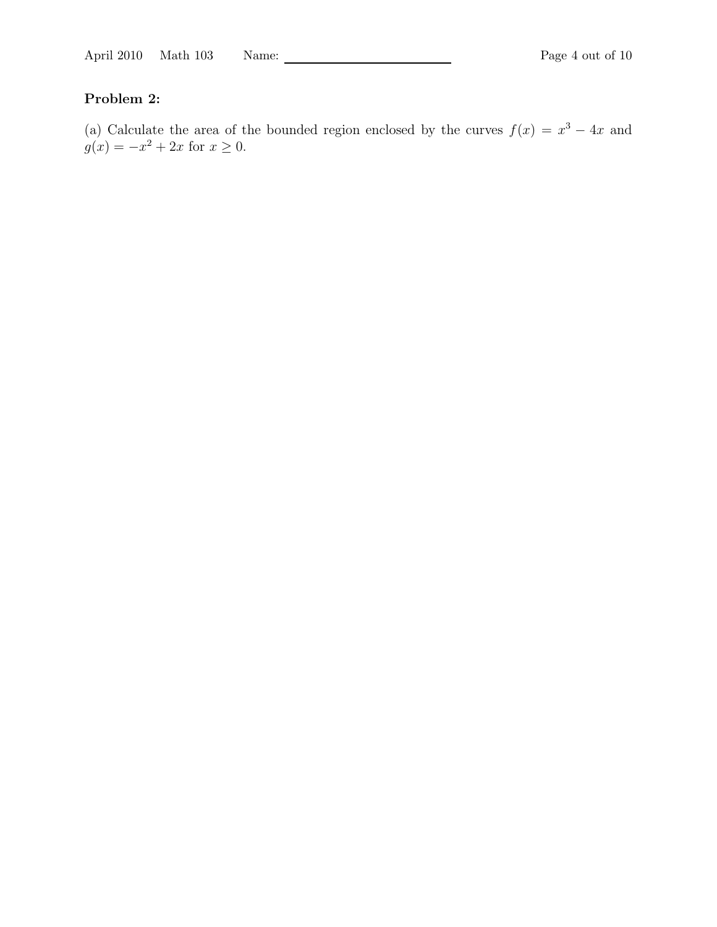# Problem 2:

(a) Calculate the area of the bounded region enclosed by the curves  $f(x) = x^3 - 4x$  and  $g(x) = -x^2 + 2x$  for  $x \ge 0$ .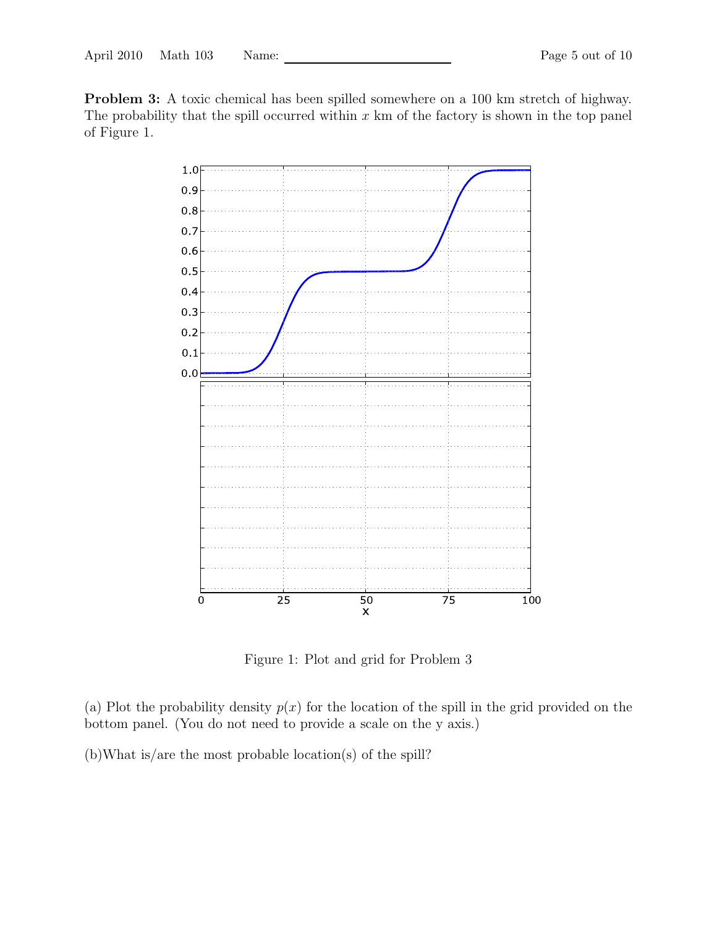Problem 3: A toxic chemical has been spilled somewhere on a 100 km stretch of highway. The probability that the spill occurred within  $x \text{ km of the factory is shown in the top panel}$ of Figure 1.



Figure 1: Plot and grid for Problem 3

(a) Plot the probability density  $p(x)$  for the location of the spill in the grid provided on the bottom panel. (You do not need to provide a scale on the y axis.)

(b)What is/are the most probable location(s) of the spill?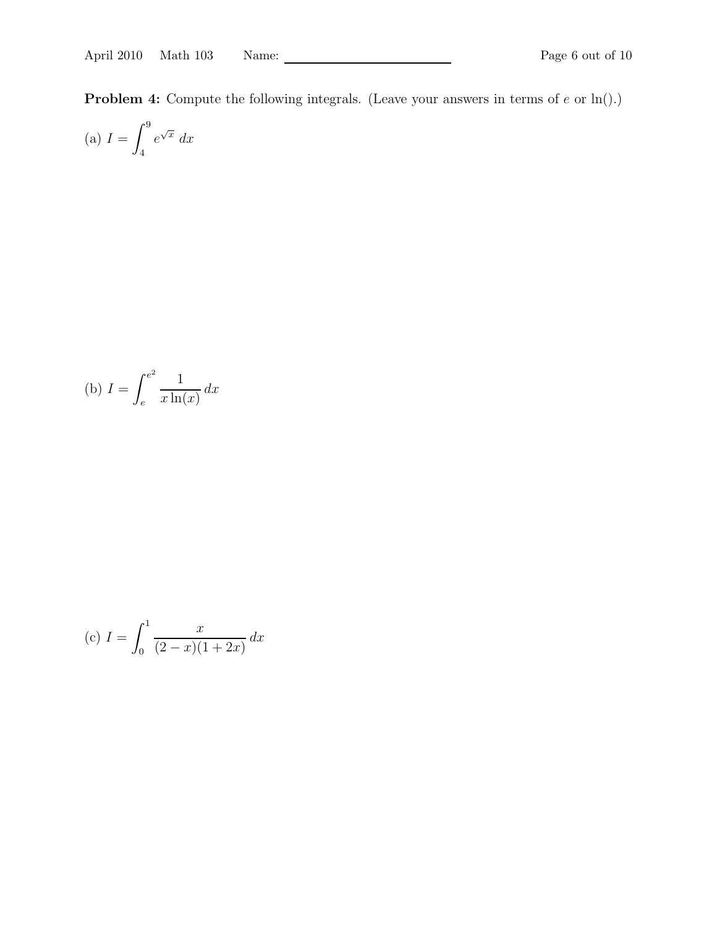**Problem 4:** Compute the following integrals. (Leave your answers in terms of  $e$  or  $\ln(.)$ )

(a) 
$$
I = \int_{4}^{9} e^{\sqrt{x}} dx
$$

(b) 
$$
I = \int_{e}^{e^2} \frac{1}{x \ln(x)} dx
$$

(c) 
$$
I = \int_0^1 \frac{x}{(2-x)(1+2x)} dx
$$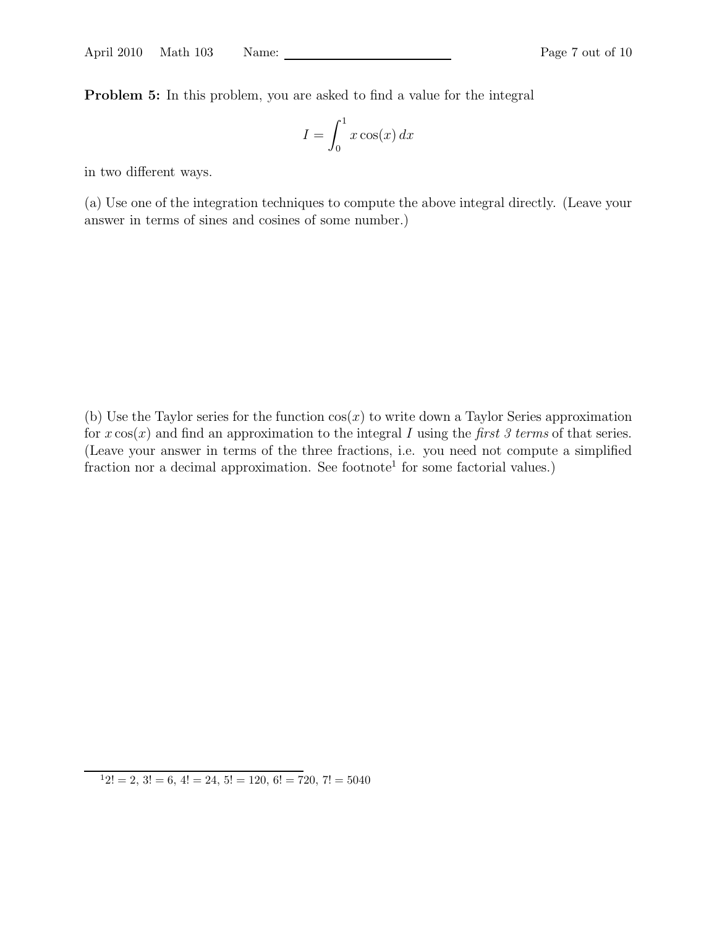Problem 5: In this problem, you are asked to find a value for the integral

$$
I = \int_0^1 x \cos(x) \, dx
$$

in two different ways.

(a) Use one of the integration techniques to compute the above integral directly. (Leave your answer in terms of sines and cosines of some number.)

(b) Use the Taylor series for the function  $cos(x)$  to write down a Taylor Series approximation for  $x \cos(x)$  and find an approximation to the integral I using the first 3 terms of that series. (Leave your answer in terms of the three fractions, i.e. you need not compute a simplified fraction nor a decimal approximation. See footnote<sup>1</sup> for some factorial values.)

 $12! = 2, 3! = 6, 4! = 24, 5! = 120, 6! = 720, 7! = 5040$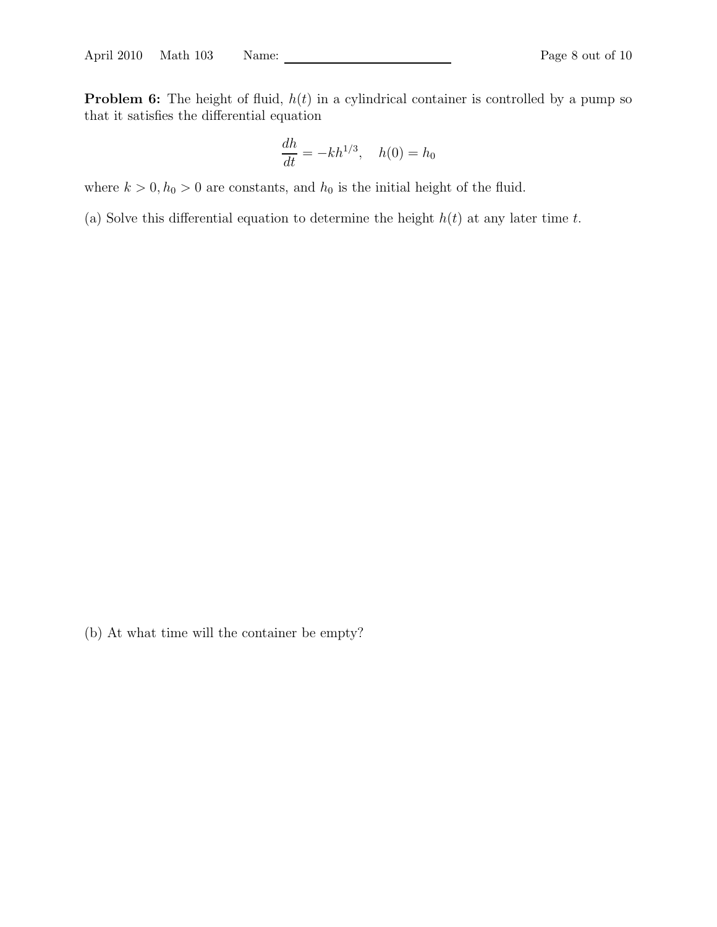**Problem 6:** The height of fluid,  $h(t)$  in a cylindrical container is controlled by a pump so that it satisfies the differential equation

$$
\frac{dh}{dt} = -kh^{1/3}, \quad h(0) = h_0
$$

where  $k > 0$ ,  $h_0 > 0$  are constants, and  $h_0$  is the initial height of the fluid.

(a) Solve this differential equation to determine the height  $h(t)$  at any later time t.

(b) At what time will the container be empty?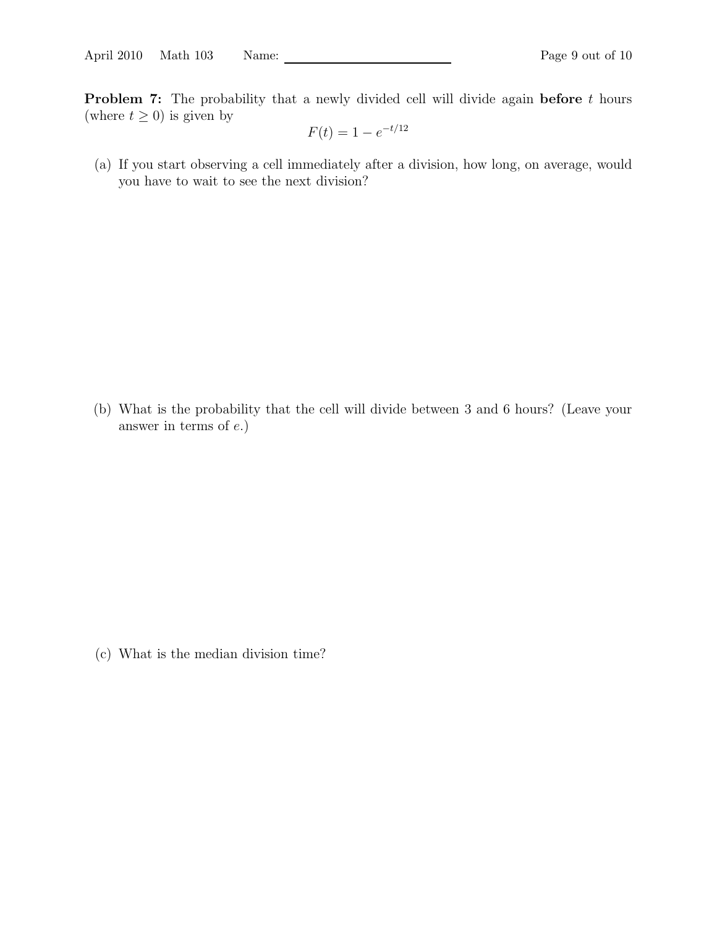**Problem 7:** The probability that a newly divided cell will divide again **before** t hours (where  $t \geq 0$ ) is given by

$$
F(t) = 1 - e^{-t/12}
$$

(a) If you start observing a cell immediately after a division, how long, on average, would you have to wait to see the next division?

(b) What is the probability that the cell will divide between 3 and 6 hours? (Leave your answer in terms of e.)

(c) What is the median division time?